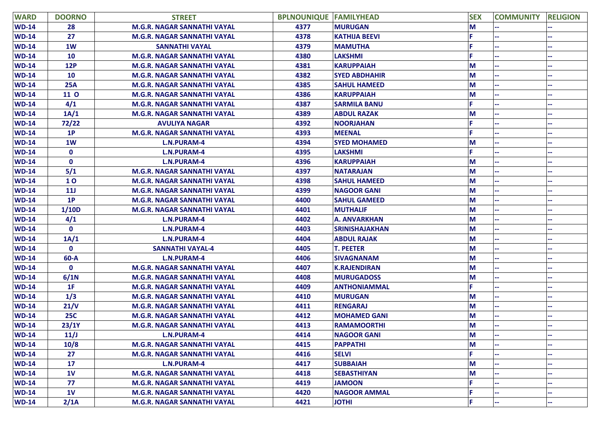| <b>WARD</b>  | <b>DOORNO</b>  | <b>STREET</b>                      | <b>BPLNOUNIQUE FAMILYHEAD</b> |                       | <b>SEX</b> | <b>COMMUNITY</b> | <b>RELIGION</b> |
|--------------|----------------|------------------------------------|-------------------------------|-----------------------|------------|------------------|-----------------|
| <b>WD-14</b> | 28             | <b>M.G.R. NAGAR SANNATHI VAYAL</b> | 4377                          | <b>MURUGAN</b>        | M          |                  |                 |
| <b>WD-14</b> | 27             | <b>M.G.R. NAGAR SANNATHI VAYAL</b> | 4378                          | <b>KATHIJA BEEVI</b>  |            |                  |                 |
| <b>WD-14</b> | 1W             | <b>SANNATHI VAYAL</b>              | 4379                          | <b>MAMUTHA</b>        |            |                  |                 |
| <b>WD-14</b> | <b>10</b>      | <b>M.G.R. NAGAR SANNATHI VAYAL</b> | 4380                          | <b>LAKSHMI</b>        |            |                  |                 |
| <b>WD-14</b> | <b>12P</b>     | <b>M.G.R. NAGAR SANNATHI VAYAL</b> | 4381                          | <b>KARUPPAIAH</b>     | M          |                  |                 |
| <b>WD-14</b> | 10             | <b>M.G.R. NAGAR SANNATHI VAYAL</b> | 4382                          | <b>SYED ABDHAHIR</b>  | M          |                  |                 |
| <b>WD-14</b> | <b>25A</b>     | <b>M.G.R. NAGAR SANNATHI VAYAL</b> | 4385                          | <b>SAHUL HAMEED</b>   | M          |                  |                 |
| <b>WD-14</b> | 11 O           | <b>M.G.R. NAGAR SANNATHI VAYAL</b> | 4386                          | <b>KARUPPAIAH</b>     | M          |                  |                 |
| <b>WD-14</b> | 4/1            | <b>M.G.R. NAGAR SANNATHI VAYAL</b> | 4387                          | <b>SARMILA BANU</b>   | Е          |                  |                 |
| <b>WD-14</b> | 1A/1           | <b>M.G.R. NAGAR SANNATHI VAYAL</b> | 4389                          | <b>ABDUL RAZAK</b>    | M          |                  |                 |
| <b>WD-14</b> | 72/22          | <b>AVULIYA NAGAR</b>               | 4392                          | <b>NOORJAHAN</b>      |            |                  |                 |
| <b>WD-14</b> | 1P             | M.G.R. NAGAR SANNATHI VAYAL        | 4393                          | <b>MEENAL</b>         |            |                  |                 |
| <b>WD-14</b> | 1W             | <b>L.N.PURAM-4</b>                 | 4394                          | <b>SYED MOHAMED</b>   | M          |                  |                 |
| <b>WD-14</b> | $\mathbf 0$    | <b>L.N.PURAM-4</b>                 | 4395                          | <b>LAKSHMI</b>        | F.         |                  |                 |
| <b>WD-14</b> | $\mathbf 0$    | <b>L.N.PURAM-4</b>                 | 4396                          | <b>KARUPPAIAH</b>     | M          |                  |                 |
| <b>WD-14</b> | 5/1            | <b>M.G.R. NAGAR SANNATHI VAYAL</b> | 4397                          | <b>NATARAJAN</b>      | M          |                  |                 |
| <b>WD-14</b> | <b>10</b>      | M.G.R. NAGAR SANNATHI VAYAL        | 4398                          | <b>SAHUL HAMEED</b>   | M          |                  |                 |
| <b>WD-14</b> | 11J            | <b>M.G.R. NAGAR SANNATHI VAYAL</b> | 4399                          | <b>NAGOOR GANI</b>    | M          |                  |                 |
| <b>WD-14</b> | 1P             | <b>M.G.R. NAGAR SANNATHI VAYAL</b> | 4400                          | <b>SAHUL GAMEED</b>   | M          |                  |                 |
| <b>WD-14</b> | 1/10D          | <b>M.G.R. NAGAR SANNATHI VAYAL</b> | 4401                          | <b>MUTHALIF</b>       | M          |                  |                 |
| <b>WD-14</b> | 4/1            | <b>L.N.PURAM-4</b>                 | 4402                          | <b>A. ANVARKHAN</b>   | M          |                  |                 |
| <b>WD-14</b> | $\mathbf 0$    | <b>L.N.PURAM-4</b>                 | 4403                          | <b>SRINISHAJAKHAN</b> | M          |                  |                 |
| <b>WD-14</b> | 1A/1           | <b>L.N.PURAM-4</b>                 | 4404                          | <b>ABDUL RAJAK</b>    | M          |                  |                 |
| <b>WD-14</b> | $\mathbf 0$    | <b>SANNATHI VAYAL-4</b>            | 4405                          | <b>T. PEETER</b>      | M          |                  |                 |
| <b>WD-14</b> | $60 - A$       | <b>L.N.PURAM-4</b>                 | 4406                          | <b>SIVAGNANAM</b>     | M          |                  |                 |
| <b>WD-14</b> | $\mathbf 0$    | <b>M.G.R. NAGAR SANNATHI VAYAL</b> | 4407                          | <b>K.RAJENDIRAN</b>   | M          |                  |                 |
| <b>WD-14</b> | 6/1N           | <b>M.G.R. NAGAR SANNATHI VAYAL</b> | 4408                          | <b>MURUGADOSS</b>     | M          |                  |                 |
| <b>WD-14</b> | 1F             | <b>M.G.R. NAGAR SANNATHI VAYAL</b> | 4409                          | <b>ANTHONIAMMAL</b>   | F          |                  |                 |
| <b>WD-14</b> | 1/3            | <b>M.G.R. NAGAR SANNATHI VAYAL</b> | 4410                          | <b>MURUGAN</b>        | M          |                  |                 |
| <b>WD-14</b> | 21/V           | <b>M.G.R. NAGAR SANNATHI VAYAL</b> | 4411                          | <b>RENGARAJ</b>       | M          |                  |                 |
| <b>WD-14</b> | <b>25C</b>     | M.G.R. NAGAR SANNATHI VAYAL        | 4412                          | <b>MOHAMED GANI</b>   | M          |                  |                 |
| $WD-14$      | 23/1Y          | <b>M.G.R. NAGAR SANNATHI VAYAL</b> | 4413                          | <b>RAMAMOORTHI</b>    | M          |                  |                 |
| <b>WD-14</b> | 11/J           | <b>L.N.PURAM-4</b>                 | 4414                          | <b>NAGOOR GANI</b>    | M          |                  |                 |
| $WD-14$      | 10/8           | <b>M.G.R. NAGAR SANNATHI VAYAL</b> | 4415                          | <b>PAPPATHI</b>       | M          |                  |                 |
| $WD-14$      | 27             | M.G.R. NAGAR SANNATHI VAYAL        | 4416                          | <b>SELVI</b>          | F.         |                  |                 |
| $WD-14$      | 17             | L.N.PURAM-4                        | 4417                          | <b>SUBBAIAH</b>       | M          |                  |                 |
| $WD-14$      | 1 <sub>V</sub> | M.G.R. NAGAR SANNATHI VAYAL        | 4418                          | <b>SEBASTHIYAN</b>    | M          |                  |                 |
| $WD-14$      | 77             | M.G.R. NAGAR SANNATHI VAYAL        | 4419                          | <b>JAMOON</b>         | F.         |                  |                 |
| $WD-14$      | 1 <sub>V</sub> | M.G.R. NAGAR SANNATHI VAYAL        | 4420                          | <b>NAGOOR AMMAL</b>   | с          |                  |                 |
| $WD-14$      | 2/1A           | <b>M.G.R. NAGAR SANNATHI VAYAL</b> | 4421                          | <b>JOTHI</b>          | F.         |                  |                 |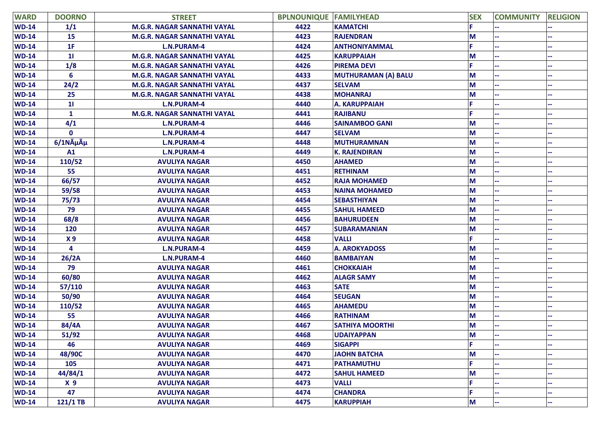| <b>WARD</b>  | <b>DOORNO</b>                  | <b>STREET</b>                      | <b>BPLNOUNIQUE FAMILYHEAD</b> |                        | <b>SEX</b> | <b>COMMUNITY</b> | <b>RELIGION</b> |
|--------------|--------------------------------|------------------------------------|-------------------------------|------------------------|------------|------------------|-----------------|
| $WD-14$      | 1/1                            | M.G.R. NAGAR SANNATHI VAYAL        | 4422                          | <b>KAMATCHI</b>        |            |                  |                 |
| $WD-14$      | 15                             | <b>M.G.R. NAGAR SANNATHI VAYAL</b> | 4423                          | <b>RAJENDRAN</b>       | М          |                  |                 |
| $WD-14$      | 1F                             | L.N.PURAM-4                        | 4424                          | <b>ANTHONIYAMMAL</b>   |            |                  |                 |
| $WD-14$      | $\mathbf{1}$                   | <b>M.G.R. NAGAR SANNATHI VAYAL</b> | 4425                          | <b>KARUPPAIAH</b>      | M          |                  |                 |
| <b>WD-14</b> | 1/8                            | M.G.R. NAGAR SANNATHI VAYAL        | 4426                          | <b>PIREMA DEVI</b>     |            |                  |                 |
| $WD-14$      | $6\phantom{1}$                 | <b>M.G.R. NAGAR SANNATHI VAYAL</b> | 4433                          | MUTHURAMAN (A) BALU    | М          |                  |                 |
| $WD-14$      | 24/2                           | M.G.R. NAGAR SANNATHI VAYAL        | 4437                          | <b>SELVAM</b>          | М          |                  |                 |
| <b>WD-14</b> | 25                             | M.G.R. NAGAR SANNATHI VAYAL        | 4438                          | <b>MOHANRAJ</b>        | М          |                  |                 |
| <b>WD-14</b> | $\mathbf{1}$                   | L.N.PURAM-4                        | 4440                          | <b>A. KARUPPAIAH</b>   |            |                  |                 |
| $WD-14$      | $\mathbf{1}$                   | M.G.R. NAGAR SANNATHI VAYAL        | 4441                          | <b>RAJIBANU</b>        |            |                  |                 |
| <b>WD-14</b> | 4/1                            | L.N.PURAM-4                        | 4446                          | <b>SAINAMBOO GANI</b>  | М          |                  |                 |
| <b>WD-14</b> | $\mathbf 0$                    | L.N.PURAM-4                        | 4447                          | <b>SELVAM</b>          | М          |                  |                 |
| <b>WD-14</b> | $6/1N\tilde{A}\mu\tilde{A}\mu$ | L.N.PURAM-4                        | 4448                          | <b>MUTHURAMNAN</b>     | М          |                  |                 |
| $WD-14$      | A1                             | L.N.PURAM-4                        | 4449                          | <b>K. RAJENDIRAN</b>   | М          |                  |                 |
| $WD-14$      | 110/52                         | <b>AVULIYA NAGAR</b>               | 4450                          | <b>AHAMED</b>          | М          |                  |                 |
| <b>WD-14</b> | 55                             | <b>AVULIYA NAGAR</b>               | 4451                          | <b>RETHINAM</b>        | М          |                  |                 |
| $WD-14$      | 66/57                          | <b>AVULIYA NAGAR</b>               | 4452                          | <b>RAJA MOHAMED</b>    | М          |                  |                 |
| <b>WD-14</b> | 59/58                          | <b>AVULIYA NAGAR</b>               | 4453                          | <b>NAINA MOHAMED</b>   | М          |                  |                 |
| $WD-14$      | 75/73                          | <b>AVULIYA NAGAR</b>               | 4454                          | <b>SEBASTHIYAN</b>     | М          |                  |                 |
| <b>WD-14</b> | 79                             | <b>AVULIYA NAGAR</b>               | 4455                          | <b>SAHUL HAMEED</b>    | М          |                  |                 |
| <b>WD-14</b> | 68/8                           | <b>AVULIYA NAGAR</b>               | 4456                          | <b>BAHURUDEEN</b>      | М          |                  |                 |
| $WD-14$      | 120                            | <b>AVULIYA NAGAR</b>               | 4457                          | <b>SUBARAMANIAN</b>    | M          |                  |                 |
| $WD-14$      | x <sub>9</sub>                 | <b>AVULIYA NAGAR</b>               | 4458                          | <b>VALLI</b>           |            |                  |                 |
| <b>WD-14</b> | 4                              | L.N.PURAM-4                        | 4459                          | <b>A. AROKYADOSS</b>   | М          |                  |                 |
| <b>WD-14</b> | 26/2A                          | L.N.PURAM-4                        | 4460                          | <b>BAMBAIYAN</b>       | М          |                  |                 |
| $WD-14$      | 79                             | <b>AVULIYA NAGAR</b>               | 4461                          | <b>CHOKKAIAH</b>       | M          |                  |                 |
| $WD-14$      | 60/80                          | <b>AVULIYA NAGAR</b>               | 4462                          | <b>ALAGR SAMY</b>      | М          |                  |                 |
| <b>WD-14</b> | 57/110                         | <b>AVULIYA NAGAR</b>               | 4463                          | <b>SATE</b>            | М          |                  |                 |
| <b>WD-14</b> | 50/90                          | <b>AVULIYA NAGAR</b>               | 4464                          | <b>SEUGAN</b>          | М          |                  |                 |
| $WD-14$      | 110/52                         | <b>AVULIYA NAGAR</b>               | 4465                          | <b>AHAMEDU</b>         | M          |                  |                 |
| <b>WD-14</b> | 55                             | <b>AVULIYA NAGAR</b>               | 4466                          | <b>RATHINAM</b>        | М          |                  |                 |
| <b>WD-14</b> | 84/4A                          | <b>AVULIYA NAGAR</b>               | 4467                          | <b>SATHIYA MOORTHI</b> | М          |                  |                 |
| <b>WD-14</b> | 51/92                          | <b>AVULIYA NAGAR</b>               | 4468                          | <b>UDAIYAPPAN</b>      | M          |                  |                 |
| $WD-14$      | 46                             | <b>AVULIYA NAGAR</b>               | 4469                          | <b>SIGAPPI</b>         | È.         |                  |                 |
| $WD-14$      | 48/90C                         | <b>AVULIYA NAGAR</b>               | 4470                          | <b>JAOHN BATCHA</b>    | М          |                  |                 |
| <b>WD-14</b> | 105                            | <b>AVULIYA NAGAR</b>               | 4471                          | <b>PATHAMUTHU</b>      | F.         |                  |                 |
| <b>WD-14</b> | 44/84/1                        | <b>AVULIYA NAGAR</b>               | 4472                          | <b>SAHUL HAMEED</b>    | М          |                  |                 |
| $WD-14$      | x <sub>9</sub>                 | <b>AVULIYA NAGAR</b>               | 4473                          | <b>VALLI</b>           |            |                  |                 |
| <b>WD-14</b> | 47                             | <b>AVULIYA NAGAR</b>               | 4474                          | <b>CHANDRA</b>         |            |                  |                 |
| <b>WD-14</b> | $121/1$ TB                     | <b>AVULIYA NAGAR</b>               | 4475                          | <b>KARUPPIAH</b>       | M          | ш,               |                 |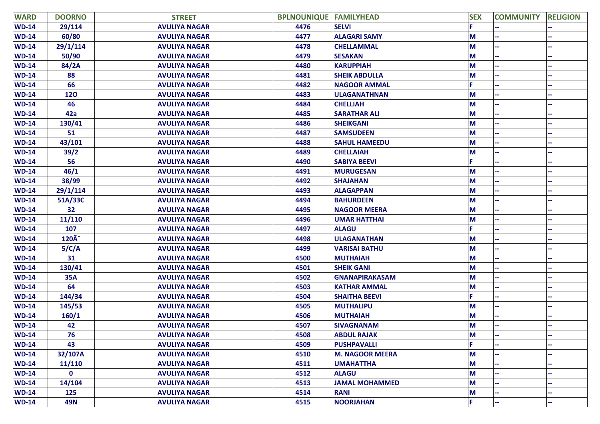| <b>WARD</b>  | <b>DOORNO</b>    | <b>STREET</b>        | <b>BPLNOUNIQUE FAMILYHEAD</b> |                        | <b>SEX</b> | <b>COMMUNITY</b> | <b>RELIGION</b> |
|--------------|------------------|----------------------|-------------------------------|------------------------|------------|------------------|-----------------|
| $WD-14$      | 29/114           | <b>AVULIYA NAGAR</b> | 4476                          | <b>SELVI</b>           |            |                  |                 |
| <b>WD-14</b> | 60/80            | <b>AVULIYA NAGAR</b> | 4477                          | <b>ALAGARI SAMY</b>    | M          |                  |                 |
| <b>WD-14</b> | 29/1/114         | <b>AVULIYA NAGAR</b> | 4478                          | <b>CHELLAMMAL</b>      | M          |                  |                 |
| <b>WD-14</b> | 50/90            | <b>AVULIYA NAGAR</b> | 4479                          | <b>SESAKAN</b>         | M          |                  |                 |
| <b>WD-14</b> | 84/2A            | <b>AVULIYA NAGAR</b> | 4480                          | <b>KARUPPIAH</b>       | M          |                  |                 |
| <b>WD-14</b> | 88               | <b>AVULIYA NAGAR</b> | 4481                          | <b>SHEIK ABDULLA</b>   | M          |                  |                 |
| <b>WD-14</b> | 66               | <b>AVULIYA NAGAR</b> | 4482                          | <b>NAGOOR AMMAL</b>    | p          |                  |                 |
| <b>WD-14</b> | 120              | <b>AVULIYA NAGAR</b> | 4483                          | <b>ULAGANATHNAN</b>    | M          |                  |                 |
| <b>WD-14</b> | 46               | <b>AVULIYA NAGAR</b> | 4484                          | <b>CHELLIAH</b>        | M          |                  |                 |
| <b>WD-14</b> | 42a              | <b>AVULIYA NAGAR</b> | 4485                          | <b>SARATHAR ALI</b>    | M          |                  |                 |
| <b>WD-14</b> | 130/41           | <b>AVULIYA NAGAR</b> | 4486                          | <b>SHEIKGANI</b>       | M          |                  |                 |
| <b>WD-14</b> | 51               | <b>AVULIYA NAGAR</b> | 4487                          | <b>SAMSUDEEN</b>       | M          |                  |                 |
| <b>WD-14</b> | 43/101           | <b>AVULIYA NAGAR</b> | 4488                          | <b>SAHUL HAMEEDU</b>   | M          |                  |                 |
| <b>WD-14</b> | 39/2             | <b>AVULIYA NAGAR</b> | 4489                          | <b>CHELLAIAH</b>       | M          |                  |                 |
| <b>WD-14</b> | 56               | <b>AVULIYA NAGAR</b> | 4490                          | <b>SABIYA BEEVI</b>    | p          |                  |                 |
| <b>WD-14</b> | 46/1             | <b>AVULIYA NAGAR</b> | 4491                          | <b>MURUGESAN</b>       | M          |                  |                 |
| <b>WD-14</b> | 38/99            | <b>AVULIYA NAGAR</b> | 4492                          | <b>SHAJAHAN</b>        | M          |                  |                 |
| <b>WD-14</b> | 29/1/114         | <b>AVULIYA NAGAR</b> | 4493                          | <b>ALAGAPPAN</b>       | M          |                  |                 |
| <b>WD-14</b> | 51A/33C          | <b>AVULIYA NAGAR</b> | 4494                          | <b>BAHURDEEN</b>       | M          |                  |                 |
| <b>WD-14</b> | 32               | <b>AVULIYA NAGAR</b> | 4495                          | <b>NAGOOR MEERA</b>    | M          |                  |                 |
| <b>WD-14</b> | 11/110           | <b>AVULIYA NAGAR</b> | 4496                          | <b>UMAR HATTHAI</b>    | M          |                  |                 |
| <b>WD-14</b> | 107              | <b>AVULIYA NAGAR</b> | 4497                          | <b>ALAGU</b>           | F.         |                  |                 |
| <b>WD-14</b> | $120\tilde{A}^-$ | <b>AVULIYA NAGAR</b> | 4498                          | <b>ULAGANATHAN</b>     | M          |                  |                 |
| <b>WD-14</b> | 5/C/A            | <b>AVULIYA NAGAR</b> | 4499                          | <b>VARISAI BATHU</b>   | M          |                  |                 |
| <b>WD-14</b> | 31               | <b>AVULIYA NAGAR</b> | 4500                          | <b>MUTHAIAH</b>        | M          |                  |                 |
| <b>WD-14</b> | 130/41           | <b>AVULIYA NAGAR</b> | 4501                          | <b>SHEIK GANI</b>      | M          |                  |                 |
| <b>WD-14</b> | <b>35A</b>       | <b>AVULIYA NAGAR</b> | 4502                          | <b>GNANAPIRAKASAM</b>  | M          |                  |                 |
| <b>WD-14</b> | 64               | <b>AVULIYA NAGAR</b> | 4503                          | <b>KATHAR AMMAL</b>    | M          |                  |                 |
| <b>WD-14</b> | 144/34           | <b>AVULIYA NAGAR</b> | 4504                          | <b>SHAITHA BEEVI</b>   | F.         |                  |                 |
| <b>WD-14</b> | 145/53           | <b>AVULIYA NAGAR</b> | 4505                          | <b>MUTHALIPU</b>       | M          |                  |                 |
| <b>WD-14</b> | 160/1            | <b>AVULIYA NAGAR</b> | 4506                          | <b>MUTHAIAH</b>        | M          |                  |                 |
| $WD-14$      | 42               | <b>AVULIYA NAGAR</b> | 4507                          | <b>SIVAGNANAM</b>      | M          |                  |                 |
| $WD-14$      | 76               | <b>AVULIYA NAGAR</b> | 4508                          | <b>ABDUL RAJAK</b>     | M          |                  |                 |
| <b>WD-14</b> | 43               | <b>AVULIYA NAGAR</b> | 4509                          | <b>PUSHPAVALLI</b>     | F.         |                  |                 |
| <b>WD-14</b> | 32/107A          | <b>AVULIYA NAGAR</b> | 4510                          | <b>M. NAGOOR MEERA</b> | $M$        |                  |                 |
| <b>WD-14</b> | 11/110           | <b>AVULIYA NAGAR</b> | 4511                          | <b>UMAHATTHA</b>       | M          |                  |                 |
| <b>WD-14</b> | $\mathbf 0$      | <b>AVULIYA NAGAR</b> | 4512                          | <b>ALAGU</b>           | $M$        |                  |                 |
| <b>WD-14</b> | 14/104           | <b>AVULIYA NAGAR</b> | 4513                          | <b>JAMAL MOHAMMED</b>  | M          |                  |                 |
| <b>WD-14</b> | 125              | <b>AVULIYA NAGAR</b> | 4514                          | <b>RANI</b>            | $M$        |                  |                 |
| $WD-14$      | <b>49N</b>       | <b>AVULIYA NAGAR</b> | 4515                          | <b>NOORJAHAN</b>       | F.         |                  |                 |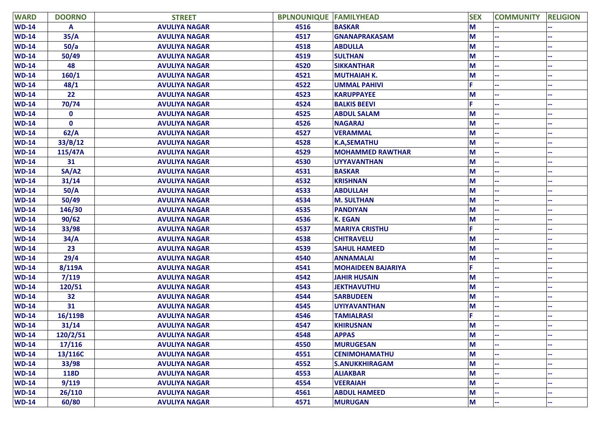| <b>WARD</b>  | <b>DOORNO</b> | <b>STREET</b>        | <b>BPLNOUNIQUE FAMILYHEAD</b> |                           | <b>SEX</b> | <b>COMMUNITY</b> | <b>RELIGION</b> |
|--------------|---------------|----------------------|-------------------------------|---------------------------|------------|------------------|-----------------|
| <b>WD-14</b> | A             | <b>AVULIYA NAGAR</b> | 4516                          | <b>BASKAR</b>             | M          |                  |                 |
| <b>WD-14</b> | 35/A          | <b>AVULIYA NAGAR</b> | 4517                          | <b>GNANAPRAKASAM</b>      | M          |                  |                 |
| <b>WD-14</b> | 50/a          | <b>AVULIYA NAGAR</b> | 4518                          | <b>ABDULLA</b>            | M          |                  |                 |
| <b>WD-14</b> | 50/49         | <b>AVULIYA NAGAR</b> | 4519                          | <b>SULTHAN</b>            | M          |                  |                 |
| <b>WD-14</b> | 48            | <b>AVULIYA NAGAR</b> | 4520                          | <b>SIKKANTHAR</b>         | M          |                  |                 |
| <b>WD-14</b> | 160/1         | <b>AVULIYA NAGAR</b> | 4521                          | <b>MUTHAIAH K.</b>        | M          |                  |                 |
| <b>WD-14</b> | 48/1          | <b>AVULIYA NAGAR</b> | 4522                          | <b>UMMAL PAHIVI</b>       |            |                  |                 |
| $WD-14$      | 22            | <b>AVULIYA NAGAR</b> | 4523                          | <b>KARUPPAYEE</b>         | M          |                  |                 |
| <b>WD-14</b> | 70/74         | <b>AVULIYA NAGAR</b> | 4524                          | <b>BALKIS BEEVI</b>       |            |                  |                 |
| <b>WD-14</b> | 0             | <b>AVULIYA NAGAR</b> | 4525                          | <b>ABDUL SALAM</b>        | М          |                  |                 |
| <b>WD-14</b> | 0             | <b>AVULIYA NAGAR</b> | 4526                          | <b>NAGARAJ</b>            | M          |                  |                 |
| <b>WD-14</b> | 62/A          | <b>AVULIYA NAGAR</b> | 4527                          | <b>VERAMMAL</b>           | M          |                  |                 |
| <b>WD-14</b> | 33/B/12       | <b>AVULIYA NAGAR</b> | 4528                          | <b>K.A, SEMATHU</b>       | M          |                  |                 |
| <b>WD-14</b> | 115/47A       | <b>AVULIYA NAGAR</b> | 4529                          | <b>MOHAMMED RAWTHAR</b>   | M          |                  |                 |
| <b>WD-14</b> | 31            | <b>AVULIYA NAGAR</b> | 4530                          | <b>UYYAVANTHAN</b>        | M          |                  |                 |
| $WD-14$      | SA/AD         | <b>AVULIYA NAGAR</b> | 4531                          | <b>BASKAR</b>             | M          |                  |                 |
| <b>WD-14</b> | 31/14         | <b>AVULIYA NAGAR</b> | 4532                          | <b>KRISHNAN</b>           | М          |                  |                 |
| <b>WD-14</b> | 50/A          | <b>AVULIYA NAGAR</b> | 4533                          | <b>ABDULLAH</b>           | M          |                  |                 |
| $WD-14$      | 50/49         | <b>AVULIYA NAGAR</b> | 4534                          | <b>M. SULTHAN</b>         | M          |                  |                 |
| <b>WD-14</b> | 146/30        | <b>AVULIYA NAGAR</b> | 4535                          | <b>PANDIYAN</b>           | M          |                  |                 |
| <b>WD-14</b> | 90/62         | <b>AVULIYA NAGAR</b> | 4536                          | <b>K. EGAN</b>            | M          |                  |                 |
| <b>WD-14</b> | 33/98         | <b>AVULIYA NAGAR</b> | 4537                          | <b>MARIYA CRISTHU</b>     | F.         |                  |                 |
| $WD-14$      | 34/A          | <b>AVULIYA NAGAR</b> | 4538                          | <b>CHITRAVELU</b>         | M          |                  |                 |
| <b>WD-14</b> | 23            | <b>AVULIYA NAGAR</b> | 4539                          | <b>SAHUL HAMEED</b>       | M          |                  |                 |
| <b>WD-14</b> | 29/4          | <b>AVULIYA NAGAR</b> | 4540                          | <b>ANNAMALAI</b>          | M          |                  |                 |
| <b>WD-14</b> | 8/119A        | <b>AVULIYA NAGAR</b> | 4541                          | <b>MOHAIDEEN BAJARIYA</b> | F.         |                  |                 |
| <b>WD-14</b> | 7/119         | <b>AVULIYA NAGAR</b> | 4542                          | <b>JAHIR HUSAIN</b>       | M          |                  |                 |
| <b>WD-14</b> | 120/51        | <b>AVULIYA NAGAR</b> | 4543                          | <b>JEKTHAVUTHU</b>        | М          |                  |                 |
| <b>WD-14</b> | 32            | <b>AVULIYA NAGAR</b> | 4544                          | <b>SARBUDEEN</b>          | M          |                  |                 |
| <b>WD-14</b> | 31            | <b>AVULIYA NAGAR</b> | 4545                          | <b>UYIYAVANTHAN</b>       | M          |                  |                 |
| <b>WD-14</b> | 16/119B       | <b>AVULIYA NAGAR</b> | 4546                          | <b>TAMIALRASI</b>         |            |                  |                 |
| $WD-14$      | 31/14         | <b>AVULIYA NAGAR</b> | 4547                          | <b>KHIRUSNAN</b>          | M          |                  |                 |
| <b>WD-14</b> | 120/2/51      | <b>AVULIYA NAGAR</b> | 4548                          | <b>APPAS</b>              | M          |                  |                 |
| $WD-14$      | 17/116        | <b>AVULIYA NAGAR</b> | 4550                          | <b>MURUGESAN</b>          | M          |                  |                 |
| <b>WD-14</b> | 13/116C       | <b>AVULIYA NAGAR</b> | 4551                          | <b>CENIMOHAMATHU</b>      | M          |                  |                 |
| <b>WD-14</b> | 33/98         | <b>AVULIYA NAGAR</b> | 4552                          | <b>S.ANUKKHIRAGAM</b>     | M          |                  |                 |
| <b>WD-14</b> | <b>118D</b>   | <b>AVULIYA NAGAR</b> | 4553                          | <b>ALIAKBAR</b>           | M          |                  |                 |
| <b>WD-14</b> | 9/119         | <b>AVULIYA NAGAR</b> | 4554                          | <b>VEERAIAH</b>           | M          |                  |                 |
| <b>WD-14</b> | 26/110        | <b>AVULIYA NAGAR</b> | 4561                          | <b>ABDUL HAMEED</b>       | M          |                  |                 |
| <b>WD-14</b> | 60/80         | <b>AVULIYA NAGAR</b> | 4571                          | <b>MURUGAN</b>            | M          |                  |                 |